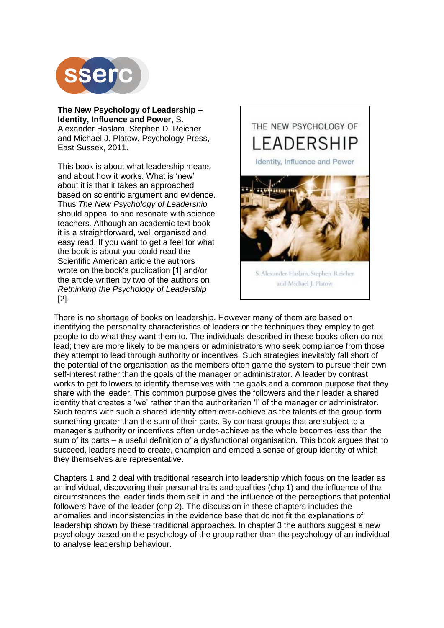

**The New Psychology of Leadership – Identity, Influence and Power**, S. Alexander Haslam, Stephen D. Reicher and Michael J. Platow, Psychology Press, East Sussex, 2011.

This book is about what leadership means and about how it works. What is 'new' about it is that it takes an approached based on scientific argument and evidence. Thus *The New Psychology of Leadership* should appeal to and resonate with science teachers. Although an academic text book it is a straightforward, well organised and easy read. If you want to get a feel for what the book is about you could read the Scientific American article the authors wrote on the book's publication [1] and/or the article written by two of the authors on *Rethinking the Psychology of Leadership* [2].



S. Alexander Haslam, Stephen Reicher and Michael J. Platow

There is no shortage of books on leadership. However many of them are based on identifying the personality characteristics of leaders or the techniques they employ to get people to do what they want them to. The individuals described in these books often do not lead; they are more likely to be mangers or administrators who seek compliance from those they attempt to lead through authority or incentives. Such strategies inevitably fall short of the potential of the organisation as the members often game the system to pursue their own self-interest rather than the goals of the manager or administrator. A leader by contrast works to get followers to identify themselves with the goals and a common purpose that they share with the leader. This common purpose gives the followers and their leader a shared identity that creates a 'we' rather than the authoritarian 'I' of the manager or administrator. Such teams with such a shared identity often over-achieve as the talents of the group form something greater than the sum of their parts. By contrast groups that are subject to a manager's authority or incentives often under-achieve as the whole becomes less than the sum of its parts – a useful definition of a dysfunctional organisation. This book argues that to succeed, leaders need to create, champion and embed a sense of group identity of which they themselves are representative.

Chapters 1 and 2 deal with traditional research into leadership which focus on the leader as an individual, discovering their personal traits and qualities (chp 1) and the influence of the circumstances the leader finds them self in and the influence of the perceptions that potential followers have of the leader (chp 2). The discussion in these chapters includes the anomalies and inconsistencies in the evidence base that do not fit the explanations of leadership shown by these traditional approaches. In chapter 3 the authors suggest a new psychology based on the psychology of the group rather than the psychology of an individual to analyse leadership behaviour.